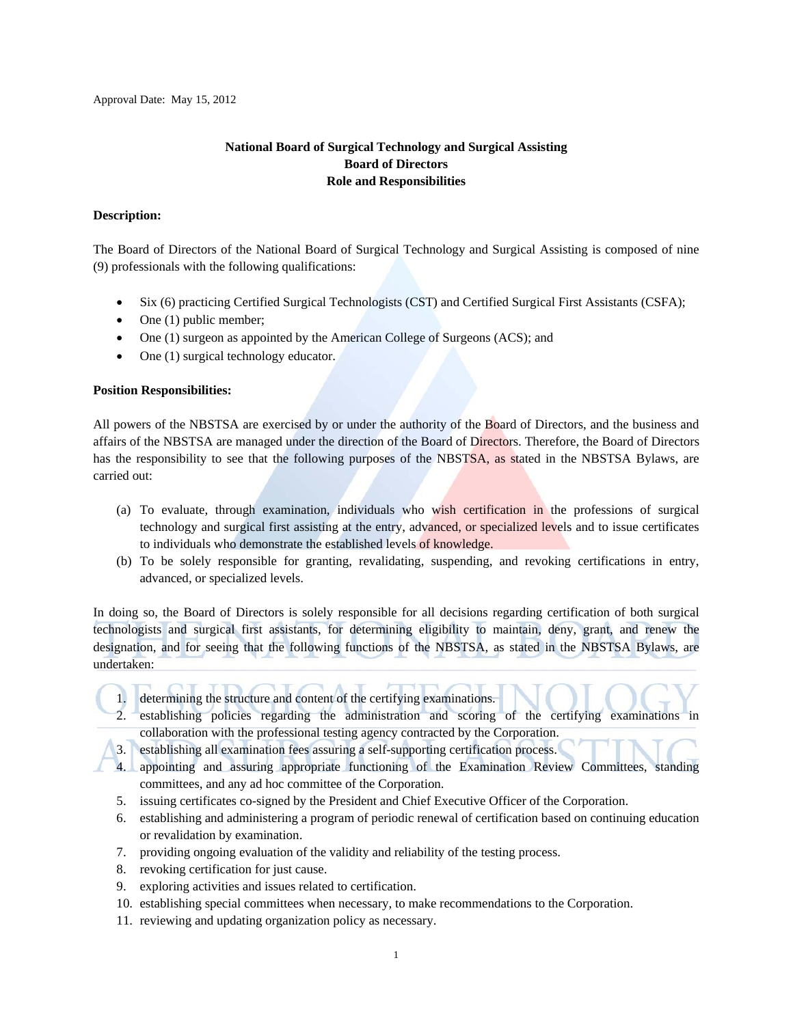# **National Board of Surgical Technology and Surgical Assisting Board of Directors Role and Responsibilities**

#### **Description:**

The Board of Directors of the National Board of Surgical Technology and Surgical Assisting is composed of nine (9) professionals with the following qualifications:

- Six (6) practicing Certified Surgical Technologists (CST) and Certified Surgical First Assistants (CSFA);
- $\bullet$  One (1) public member;
- One (1) surgeon as appointed by the American College of Surgeons (ACS); and
- One (1) surgical technology educator.

#### **Position Responsibilities:**

All powers of the NBSTSA are exercised by or under the authority of the Board of Directors, and the business and affairs of the NBSTSA are managed under the direction of the Board of Directors. Therefore, the Board of Directors has the responsibility to see that the following purposes of the NBSTSA, as stated in the NBSTSA Bylaws, are carried out:

- (a) To evaluate, through examination, individuals who wish certification in the professions of surgical technology and surgical first assisting at the entry, advanced, or specialized levels and to issue certificates to individuals who demonstrate the established levels of knowledge.
- (b) To be solely responsible for granting, revalidating, suspending, and revoking certifications in entry, advanced, or specialized levels.

In doing so, the Board of Directors is solely responsible for all decisions regarding certification of both surgical technologists and surgical first assistants, for determining eligibility to maintain, deny, grant, and renew the designation, and for seeing that the following functions of the NBSTSA, as stated in the NBSTSA Bylaws, are undertaken:

- 1. determining the structure and content of the certifying examinations.
- 2. establishing policies regarding the administration and scoring of the certifying examinations in collaboration with the professional testing agency contracted by the Corporation.
- 3. establishing all examination fees assuring a self-supporting certification process.
- 4. appointing and assuring appropriate functioning of the Examination Review Committees, standing committees, and any ad hoc committee of the Corporation.
- 5. issuing certificates co-signed by the President and Chief Executive Officer of the Corporation.
- 6. establishing and administering a program of periodic renewal of certification based on continuing education or revalidation by examination.
- 7. providing ongoing evaluation of the validity and reliability of the testing process.
- 8. revoking certification for just cause.
- 9. exploring activities and issues related to certification.
- 10. establishing special committees when necessary, to make recommendations to the Corporation.
- 11. reviewing and updating organization policy as necessary.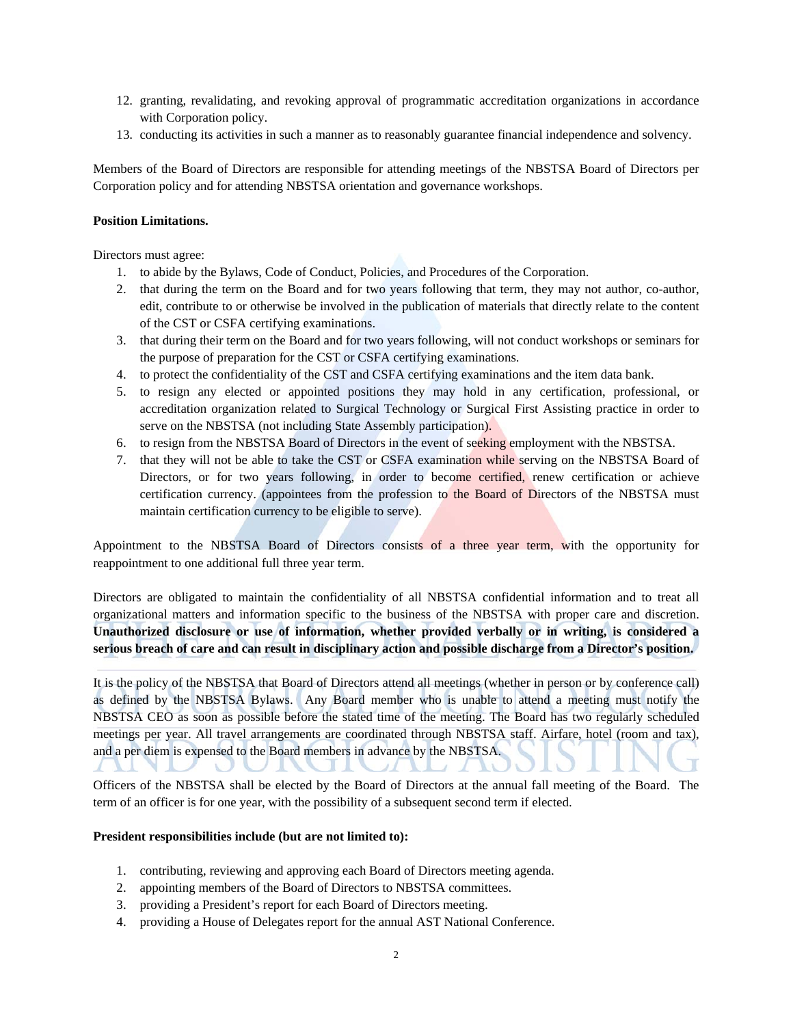- 12. granting, revalidating, and revoking approval of programmatic accreditation organizations in accordance with Corporation policy.
- 13. conducting its activities in such a manner as to reasonably guarantee financial independence and solvency.

Members of the Board of Directors are responsible for attending meetings of the NBSTSA Board of Directors per Corporation policy and for attending NBSTSA orientation and governance workshops.

#### **Position Limitations.**

Directors must agree:

- 1. to abide by the Bylaws, Code of Conduct, Policies, and Procedures of the Corporation.
- 2. that during the term on the Board and for two years following that term, they may not author, co-author, edit, contribute to or otherwise be involved in the publication of materials that directly relate to the content of the CST or CSFA certifying examinations.
- 3. that during their term on the Board and for two years following, will not conduct workshops or seminars for the purpose of preparation for the CST or CSFA certifying examinations.
- 4. to protect the confidentiality of the CST and CSFA certifying examinations and the item data bank.
- 5. to resign any elected or appointed positions they may hold in any certification, professional, or accreditation organization related to Surgical Technology or Surgical First Assisting practice in order to serve on the NBSTSA (not including State Assembly participation).
- 6. to resign from the NBSTSA Board of Directors in the event of seeking employment with the NBSTSA.
- 7. that they will not be able to take the CST or CSFA examination while serving on the NBSTSA Board of Directors, or for two years following, in order to become certified, renew certification or achieve certification currency. (appointees from the profession to the Board of Directors of the NBSTSA must maintain certification currency to be eligible to serve).

Appointment to the NBSTSA Board of Directors consists of a three year term, with the opportunity for reappointment to one additional full three year term.

Directors are obligated to maintain the confidentiality of all NBSTSA confidential information and to treat all organizational matters and information specific to the business of the NBSTSA with proper care and discretion. **Unauthorized disclosure or use of information, whether provided verbally or in writing, is considered a serious breach of care and can result in disciplinary action and possible discharge from a Director's position.**

It is the policy of the NBSTSA that Board of Directors attend all meetings (whether in person or by conference call) as defined by the NBSTSA Bylaws. Any Board member who is unable to attend a meeting must notify the NBSTSA CEO as soon as possible before the stated time of the meeting. The Board has two regularly scheduled meetings per year. All travel arrangements are coordinated through NBSTSA staff. Airfare, hotel (room and tax), and a per diem is expensed to the Board members in advance by the NBSTSA.  $\sim$  $\mathbf{1}$ **ALCOHOL:** 

Officers of the NBSTSA shall be elected by the Board of Directors at the annual fall meeting of the Board. The term of an officer is for one year, with the possibility of a subsequent second term if elected.

#### **President responsibilities include (but are not limited to):**

- 1. contributing, reviewing and approving each Board of Directors meeting agenda.
- 2. appointing members of the Board of Directors to NBSTSA committees.
- 3. providing a President's report for each Board of Directors meeting.
- 4. providing a House of Delegates report for the annual AST National Conference.